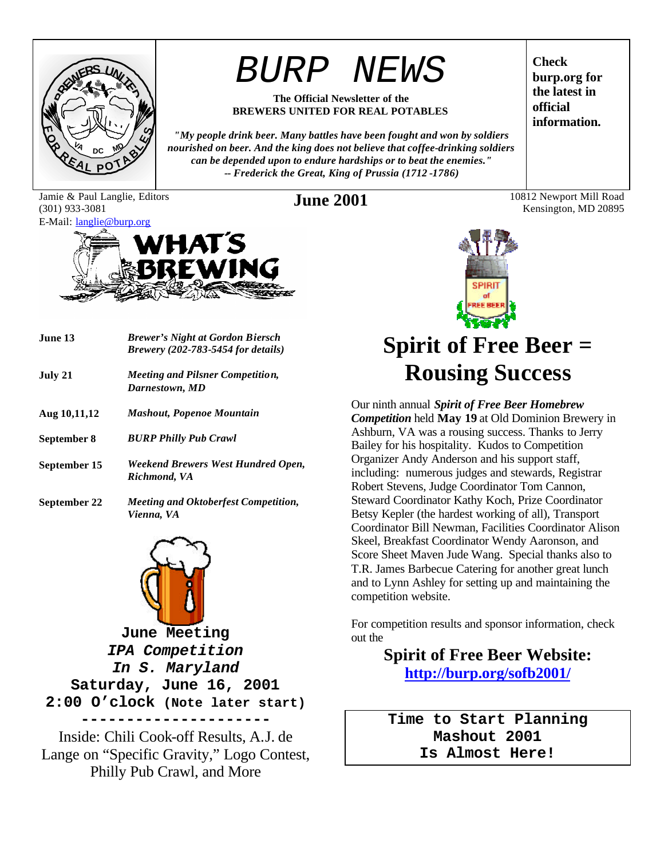

# *BURP NEWS*

#### **The Official Newsletter of the BREWERS UNITED FOR REAL POTABLES**

*"My people drink beer. Many battles have been fought and won by soldiers nourished on beer. And the king does not believe that coffee-drinking soldiers can be depended upon to endure hardships or to beat the enemies." -- Frederick the Great, King of Prussia (1712 -1786)*

Jamie & Paul Langlie, Editors (301) 933-3081



| June 13      | <b>Brewer's Night at Gordon Biersch</b><br><i>Brewery (202-783-5454 for details)</i> |
|--------------|--------------------------------------------------------------------------------------|
| July 21      | <i>Meeting and Pilsner Competition,</i><br>Darnestown, MD                            |
| Aug 10,11,12 | <b>Mashout, Popenoe Mountain</b>                                                     |
| September 8  | <b>BURP Philly Pub Crawl</b>                                                         |
| September 15 | Weekend Brewers West Hundred Open,<br>Richmond, VA                                   |
| September 22 | <b>Meeting and Oktoberfest Competition,</b><br>Vienna, VA                            |



**June Meeting** *IPA Competition In S. Maryland* **Saturday, June 16, 2001 2:00 O'clock (Note later start) ---------------------**

Inside: Chili Cook-off Results, A.J. de Lange on "Specific Gravity," Logo Contest, Philly Pub Crawl, and More

**Check burp.org for the latest in official information.**

**June 2001** 10812 Newport Mill Road Kensington, MD 20895



# **Spirit of Free Beer = Rousing Success**

Our ninth annual *Spirit of Free Beer Homebrew Competition* held **May 19** at Old Dominion Brewery in Ashburn, VA was a rousing success. Thanks to Jerry Bailey for his hospitality. Kudos to Competition Organizer Andy Anderson and his support staff, including: numerous judges and stewards, Registrar Robert Stevens, Judge Coordinator Tom Cannon, Steward Coordinator Kathy Koch, Prize Coordinator Betsy Kepler (the hardest working of all), Transport Coordinator Bill Newman, Facilities Coordinator Alison Skeel, Breakfast Coordinator Wendy Aaronson, and Score Sheet Maven Jude Wang. Special thanks also to T.R. James Barbecue Catering for another great lunch and to Lynn Ashley for setting up and maintaining the competition website.

For competition results and sponsor information, check out the

> **Spirit of Free Beer Website: http://burp.org/sofb2001/**

**Time to Start Planning Mashout 2001 Is Almost Here!**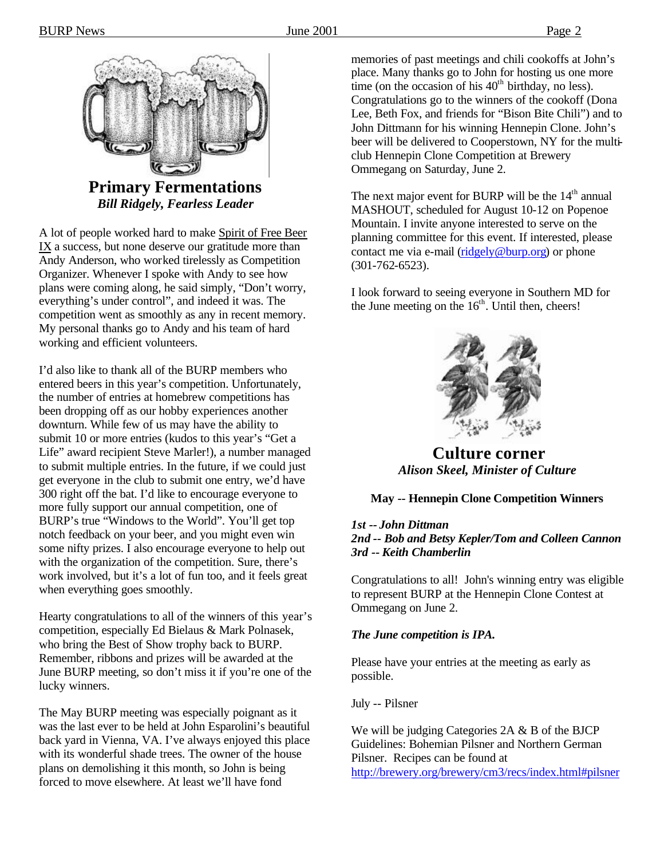

**Primary Fermentations** *Bill Ridgely, Fearless Leader*

A lot of people worked hard to make Spirit of Free Beer IX a success, but none deserve our gratitude more than Andy Anderson, who worked tirelessly as Competition Organizer. Whenever I spoke with Andy to see how plans were coming along, he said simply, "Don't worry, everything's under control", and indeed it was. The competition went as smoothly as any in recent memory. My personal thanks go to Andy and his team of hard working and efficient volunteers.

I'd also like to thank all of the BURP members who entered beers in this year's competition. Unfortunately, the number of entries at homebrew competitions has been dropping off as our hobby experiences another downturn. While few of us may have the ability to submit 10 or more entries (kudos to this year's "Get a Life" award recipient Steve Marler!), a number managed to submit multiple entries. In the future, if we could just get everyone in the club to submit one entry, we'd have 300 right off the bat. I'd like to encourage everyone to more fully support our annual competition, one of BURP's true "Windows to the World". You'll get top notch feedback on your beer, and you might even win some nifty prizes. I also encourage everyone to help out with the organization of the competition. Sure, there's work involved, but it's a lot of fun too, and it feels great when everything goes smoothly.

Hearty congratulations to all of the winners of this year's competition, especially Ed Bielaus & Mark Polnasek, who bring the Best of Show trophy back to BURP. Remember, ribbons and prizes will be awarded at the June BURP meeting, so don't miss it if you're one of the lucky winners.

The May BURP meeting was especially poignant as it was the last ever to be held at John Esparolini's beautiful back yard in Vienna, VA. I've always enjoyed this place with its wonderful shade trees. The owner of the house plans on demolishing it this month, so John is being forced to move elsewhere. At least we'll have fond

memories of past meetings and chili cookoffs at John's place. Many thanks go to John for hosting us one more time (on the occasion of his  $40<sup>th</sup>$  birthday, no less). Congratulations go to the winners of the cookoff (Dona Lee, Beth Fox, and friends for "Bison Bite Chili") and to John Dittmann for his winning Hennepin Clone. John's beer will be delivered to Cooperstown, NY for the multiclub Hennepin Clone Competition at Brewery Ommegang on Saturday, June 2.

The next major event for BURP will be the  $14<sup>th</sup>$  annual MASHOUT, scheduled for August 10-12 on Popenoe Mountain. I invite anyone interested to serve on the planning committee for this event. If interested, please contact me via e-mail (ridgely@burp.org) or phone (301-762-6523).

I look forward to seeing everyone in Southern MD for the June meeting on the  $16<sup>th</sup>$ . Until then, cheers!



**Culture corner** *Alison Skeel, Minister of Culture*

#### **May -- Hennepin Clone Competition Winners**

#### *1st -- John Dittman 2nd -- Bob and Betsy Kepler/Tom and Colleen Cannon 3rd -- Keith Chamberlin*

Congratulations to all! John's winning entry was eligible to represent BURP at the Hennepin Clone Contest at Ommegang on June 2.

#### *The June competition is IPA.*

Please have your entries at the meeting as early as possible.

July -- Pilsner

We will be judging Categories 2A & B of the BJCP Guidelines: Bohemian Pilsner and Northern German Pilsner. Recipes can be found at http://brewery.org/brewery/cm3/recs/index.html#pilsner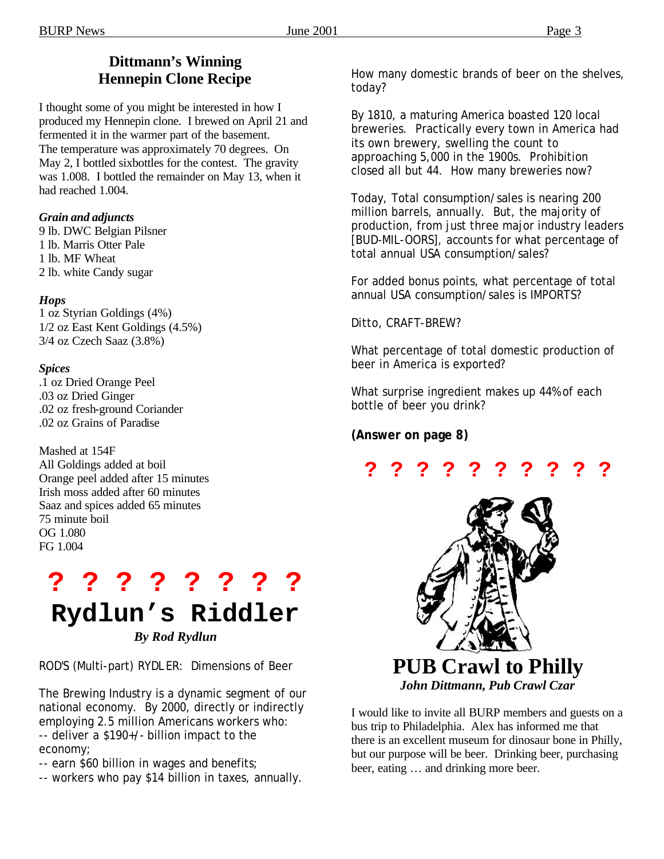### **Dittmann's Winning Hennepin Clone Recipe**

I thought some of you might be interested in how I produced my Hennepin clone. I brewed on April 21 and fermented it in the warmer part of the basement. The temperature was approximately 70 degrees. On May 2, I bottled sixbottles for the contest. The gravity was 1.008. I bottled the remainder on May 13, when it had reached 1.004.

#### *Grain and adjuncts*

9 lb. DWC Belgian Pilsner 1 lb. Marris Otter Pale 1 lb. MF Wheat 2 lb. white Candy sugar

#### *Hops*

1 oz Styrian Goldings (4%) 1/2 oz East Kent Goldings (4.5%) 3/4 oz Czech Saaz (3.8%)

#### *Spices*

.1 oz Dried Orange Peel .03 oz Dried Ginger .02 oz fresh-ground Coriander .02 oz Grains of Paradise

Mashed at 154F All Goldings added at boil Orange peel added after 15 minutes Irish moss added after 60 minutes Saaz and spices added 65 minutes 75 minute boil OG 1.080 FG 1.004

# **? ? ? ? ? ? ? ?**

# **Rydlun's Riddler**

*By Rod Rydlun*

ROD'S (Multi-part) RYDLER: Dimensions of Beer

The Brewing Industry is a dynamic segment of our national economy. By 2000, directly or indirectly employing 2.5 million Americans workers who: -- deliver a \$190+/- billion impact to the economy;

- -- earn \$60 billion in wages and benefits;
- -- workers who pay \$14 billion in taxes, annually.

How many domestic brands of beer on the shelves, today?

By 1810, a maturing America boasted 120 local breweries. Practically every town in America had its own brewery, swelling the count to approaching 5,000 in the 1900s. Prohibition closed all but 44. How many breweries now?

Today, Total consumption/sales is nearing 200 million barrels, annually. But, the majority of production, from just three major industry leaders [BUD-MIL-OORS], accounts for what percentage of total annual USA consumption/sales?

For added bonus points, what percentage of total annual USA consumption/sales is IMPORTS?

Ditto, CRAFT-BREW?

What percentage of total domestic production of beer in America is exported?

What surprise ingredient makes up 44% of each bottle of beer you drink?

#### **(Answer on page 8)**

## **? ? ? ? ? ? ? ? ? ?**



*John Dittmann, Pub Crawl Czar*

I would like to invite all BURP members and guests on a bus trip to Philadelphia. Alex has informed me that there is an excellent museum for dinosaur bone in Philly, but our purpose will be beer. Drinking beer, purchasing beer, eating … and drinking more beer.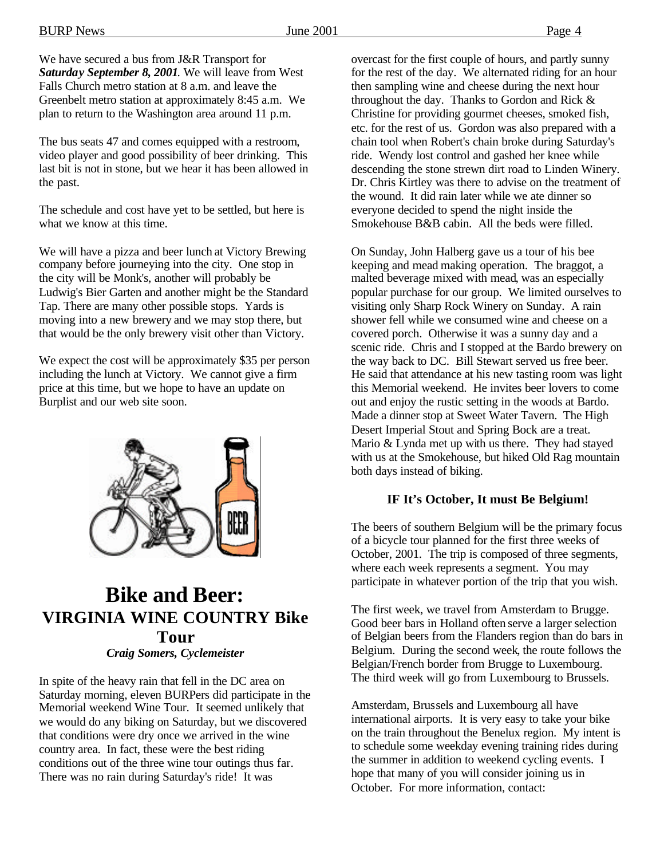We have secured a bus from J&R Transport for *Saturday September 8, 2001*. We will leave from West Falls Church metro station at 8 a.m. and leave the Greenbelt metro station at approximately 8:45 a.m. We plan to return to the Washington area around 11 p.m.

The bus seats 47 and comes equipped with a restroom, video player and good possibility of beer drinking. This last bit is not in stone, but we hear it has been allowed in the past.

The schedule and cost have yet to be settled, but here is what we know at this time.

We will have a pizza and beer lunch at Victory Brewing company before journeying into the city. One stop in the city will be Monk's, another will probably be Ludwig's Bier Garten and another might be the Standard Tap. There are many other possible stops. Yards is moving into a new brewery and we may stop there, but that would be the only brewery visit other than Victory.

We expect the cost will be approximately \$35 per person including the lunch at Victory. We cannot give a firm price at this time, but we hope to have an update on Burplist and our web site soon.



### **Bike and Beer: VIRGINIA WINE COUNTRY Bike Tour** *Craig Somers, Cyclemeister*

In spite of the heavy rain that fell in the DC area on Saturday morning, eleven BURPers did participate in the Memorial weekend Wine Tour. It seemed unlikely that we would do any biking on Saturday, but we discovered that conditions were dry once we arrived in the wine country area. In fact, these were the best riding conditions out of the three wine tour outings thus far. There was no rain during Saturday's ride! It was

overcast for the first couple of hours, and partly sunny for the rest of the day. We alternated riding for an hour then sampling wine and cheese during the next hour throughout the day. Thanks to Gordon and Rick & Christine for providing gourmet cheeses, smoked fish, etc. for the rest of us. Gordon was also prepared with a chain tool when Robert's chain broke during Saturday's ride. Wendy lost control and gashed her knee while descending the stone strewn dirt road to Linden Winery. Dr. Chris Kirtley was there to advise on the treatment of the wound. It did rain later while we ate dinner so everyone decided to spend the night inside the Smokehouse B&B cabin. All the beds were filled.

On Sunday, John Halberg gave us a tour of his bee keeping and mead making operation. The braggot, a malted beverage mixed with mead, was an especially popular purchase for our group. We limited ourselves to visiting only Sharp Rock Winery on Sunday. A rain shower fell while we consumed wine and cheese on a covered porch. Otherwise it was a sunny day and a scenic ride. Chris and I stopped at the Bardo brewery on the way back to DC. Bill Stewart served us free beer. He said that attendance at his new tasting room was light this Memorial weekend. He invites beer lovers to come out and enjoy the rustic setting in the woods at Bardo. Made a dinner stop at Sweet Water Tavern. The High Desert Imperial Stout and Spring Bock are a treat. Mario & Lynda met up with us there. They had stayed with us at the Smokehouse, but hiked Old Rag mountain both days instead of biking.

#### **IF It's October, It must Be Belgium!**

The beers of southern Belgium will be the primary focus of a bicycle tour planned for the first three weeks of October, 2001. The trip is composed of three segments, where each week represents a segment. You may participate in whatever portion of the trip that you wish.

The first week, we travel from Amsterdam to Brugge. Good beer bars in Holland often serve a larger selection of Belgian beers from the Flanders region than do bars in Belgium. During the second week, the route follows the Belgian/French border from Brugge to Luxembourg. The third week will go from Luxembourg to Brussels.

Amsterdam, Brussels and Luxembourg all have international airports. It is very easy to take your bike on the train throughout the Benelux region. My intent is to schedule some weekday evening training rides during the summer in addition to weekend cycling events. I hope that many of you will consider joining us in October. For more information, contact: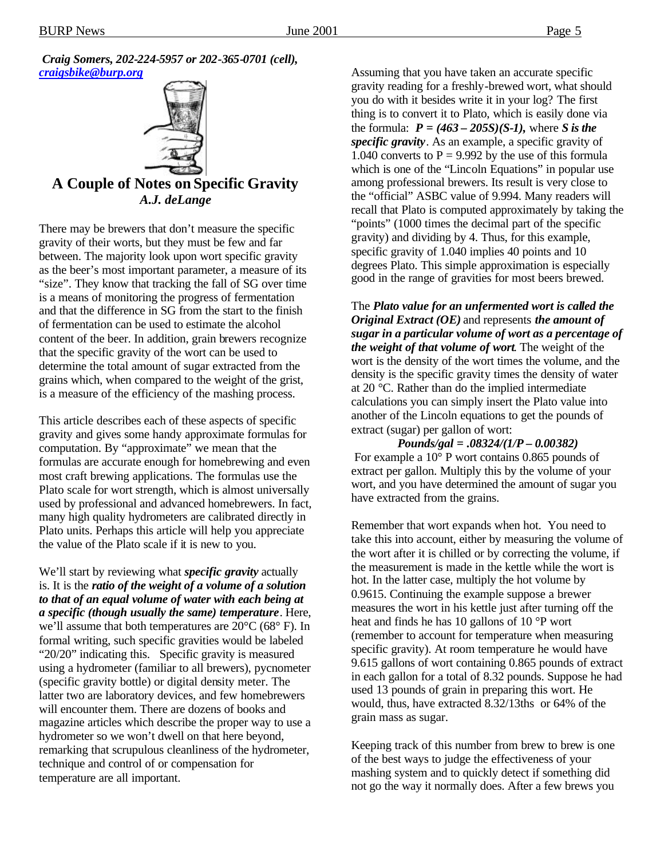*Craig Somers, 202-224-5957 or 202-365-0701 (cell), craigsbike@burp.org*



**A Couple of Notes on Specific Gravity** *A.J. deLange*

There may be brewers that don't measure the specific gravity of their worts, but they must be few and far between. The majority look upon wort specific gravity as the beer's most important parameter, a measure of its "size". They know that tracking the fall of SG over time is a means of monitoring the progress of fermentation and that the difference in SG from the start to the finish of fermentation can be used to estimate the alcohol content of the beer. In addition, grain brewers recognize that the specific gravity of the wort can be used to determine the total amount of sugar extracted from the grains which, when compared to the weight of the grist, is a measure of the efficiency of the mashing process.

This article describes each of these aspects of specific gravity and gives some handy approximate formulas for computation. By "approximate" we mean that the formulas are accurate enough for homebrewing and even most craft brewing applications. The formulas use the Plato scale for wort strength, which is almost universally used by professional and advanced homebrewers. In fact, many high quality hydrometers are calibrated directly in Plato units. Perhaps this article will help you appreciate the value of the Plato scale if it is new to you.

We'll start by reviewing what *specific gravity* actually is. It is the *ratio of the weight of a volume of a solution to that of an equal volume of water with each being at a specific (though usually the same) temperature*. Here, we'll assume that both temperatures are 20°C (68° F). In formal writing, such specific gravities would be labeled "20/20" indicating this. Specific gravity is measured using a hydrometer (familiar to all brewers), pycnometer (specific gravity bottle) or digital density meter. The latter two are laboratory devices, and few homebrewers will encounter them. There are dozens of books and magazine articles which describe the proper way to use a hydrometer so we won't dwell on that here beyond, remarking that scrupulous cleanliness of the hydrometer, technique and control of or compensation for temperature are all important.

Assuming that you have taken an accurate specific gravity reading for a freshly-brewed wort, what should you do with it besides write it in your log? The first thing is to convert it to Plato, which is easily done via the formula:  $P = (463 - 205S)(S-I)$ , where *S* is the *specific gravity*. As an example, a specific gravity of 1.040 converts to  $P = 9.992$  by the use of this formula which is one of the "Lincoln Equations" in popular use among professional brewers. Its result is very close to the "official" ASBC value of 9.994. Many readers will recall that Plato is computed approximately by taking the "points" (1000 times the decimal part of the specific gravity) and dividing by 4. Thus, for this example, specific gravity of 1.040 implies 40 points and 10 degrees Plato. This simple approximation is especially good in the range of gravities for most beers brewed.

The *Plato value for an unfermented wort is called the Original Extract (OE)* and represents *the amount of sugar in a particular volume of wort as a percentage of the weight of that volume of wort*. The weight of the wort is the density of the wort times the volume, and the density is the specific gravity times the density of water at 20 °C. Rather than do the implied intermediate calculations you can simply insert the Plato value into another of the Lincoln equations to get the pounds of extract (sugar) per gallon of wort:

#### *Pounds/gal = .08324/(1/P – 0.00382)*

 For example a 10° P wort contains 0.865 pounds of extract per gallon. Multiply this by the volume of your wort, and you have determined the amount of sugar you have extracted from the grains.

Remember that wort expands when hot. You need to take this into account, either by measuring the volume of the wort after it is chilled or by correcting the volume, if the measurement is made in the kettle while the wort is hot. In the latter case, multiply the hot volume by 0.9615. Continuing the example suppose a brewer measures the wort in his kettle just after turning off the heat and finds he has 10 gallons of 10 °P wort (remember to account for temperature when measuring specific gravity). At room temperature he would have 9.615 gallons of wort containing 0.865 pounds of extract in each gallon for a total of 8.32 pounds. Suppose he had used 13 pounds of grain in preparing this wort. He would, thus, have extracted 8.32/13ths or 64% of the grain mass as sugar.

Keeping track of this number from brew to brew is one of the best ways to judge the effectiveness of your mashing system and to quickly detect if something did not go the way it normally does. After a few brews you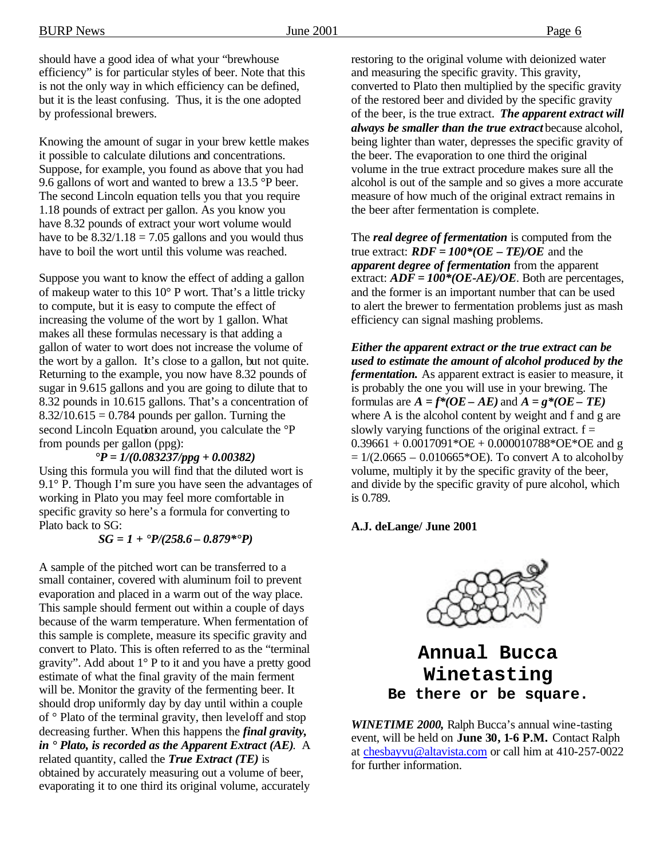should have a good idea of what your "brewhouse efficiency" is for particular styles of beer. Note that this is not the only way in which efficiency can be defined, but it is the least confusing. Thus, it is the one adopted by professional brewers.

Knowing the amount of sugar in your brew kettle makes it possible to calculate dilutions and concentrations. Suppose, for example, you found as above that you had 9.6 gallons of wort and wanted to brew a 13.5 °P beer. The second Lincoln equation tells you that you require 1.18 pounds of extract per gallon. As you know you have 8.32 pounds of extract your wort volume would have to be  $8.32/1.18 = 7.05$  gallons and you would thus have to boil the wort until this volume was reached.

Suppose you want to know the effect of adding a gallon of makeup water to this 10° P wort. That's a little tricky to compute, but it is easy to compute the effect of increasing the volume of the wort by 1 gallon. What makes all these formulas necessary is that adding a gallon of water to wort does not increase the volume of the wort by a gallon. It's close to a gallon, but not quite. Returning to the example, you now have 8.32 pounds of sugar in 9.615 gallons and you are going to dilute that to 8.32 pounds in 10.615 gallons. That's a concentration of  $8.32/10.615 = 0.784$  pounds per gallon. Turning the second Lincoln Equation around, you calculate the °P from pounds per gallon (ppg):

#### *°P = 1/(0.083237/ppg + 0.00382)*

Using this formula you will find that the diluted wort is 9.1° P. Though I'm sure you have seen the advantages of working in Plato you may feel more comfortable in specific gravity so here's a formula for converting to Plato back to SG:

#### *SG = 1 + °P/(258.6 – 0.879\*°P)*

A sample of the pitched wort can be transferred to a small container, covered with aluminum foil to prevent evaporation and placed in a warm out of the way place. This sample should ferment out within a couple of days because of the warm temperature. When fermentation of this sample is complete, measure its specific gravity and convert to Plato. This is often referred to as the "terminal gravity". Add about 1° P to it and you have a pretty good estimate of what the final gravity of the main ferment will be. Monitor the gravity of the fermenting beer. It should drop uniformly day by day until within a couple of  $\circ$  Plato of the terminal gravity, then level of and stop decreasing further. When this happens the *final gravity, in ° Plato, is recorded as the Apparent Extract (AE)*. A related quantity, called the *True Extract (TE)* is obtained by accurately measuring out a volume of beer, evaporating it to one third its original volume, accurately

restoring to the original volume with deionized water and measuring the specific gravity. This gravity, converted to Plato then multiplied by the specific gravity of the restored beer and divided by the specific gravity of the beer, is the true extract. *The apparent extract will always be smaller than the true extract* because alcohol, being lighter than water, depresses the specific gravity of the beer. The evaporation to one third the original volume in the true extract procedure makes sure all the alcohol is out of the sample and so gives a more accurate measure of how much of the original extract remains in the beer after fermentation is complete.

The *real degree of fermentation* is computed from the true extract:  $RDF = 100*(OE - TE)/OE$  and the *apparent degree of fermentation* from the apparent extract: *ADF = 100\*(OE-AE)/OE*. Both are percentages, and the former is an important number that can be used to alert the brewer to fermentation problems just as mash efficiency can signal mashing problems.

*Either the apparent extract or the true extract can be used to estimate the amount of alcohol produced by the fermentation.* As apparent extract is easier to measure, it is probably the one you will use in your brewing. The formulas are  $A = f^*(OE - AE)$  and  $A = g^*(OE - TE)$ where A is the alcohol content by weight and f and g are slowly varying functions of the original extract.  $f =$  $0.39661 + 0.0017091*$ OE +  $0.000010788*$ OE\*OE and g  $= 1/(2.0665 - 0.010665 \cdot \text{OE})$ . To convert A to alcohol by volume, multiply it by the specific gravity of the beer, and divide by the specific gravity of pure alcohol, which is 0.789.

#### **A.J. deLange/ June 2001**



**Annual Bucca Winetasting Be there or be square.**

*WINETIME 2000,* Ralph Bucca's annual wine-tasting event, will be held on **June 30, 1-6 P.M.** Contact Ralph at chesbayvu@altavista.com or call him at 410-257-0022 for further information.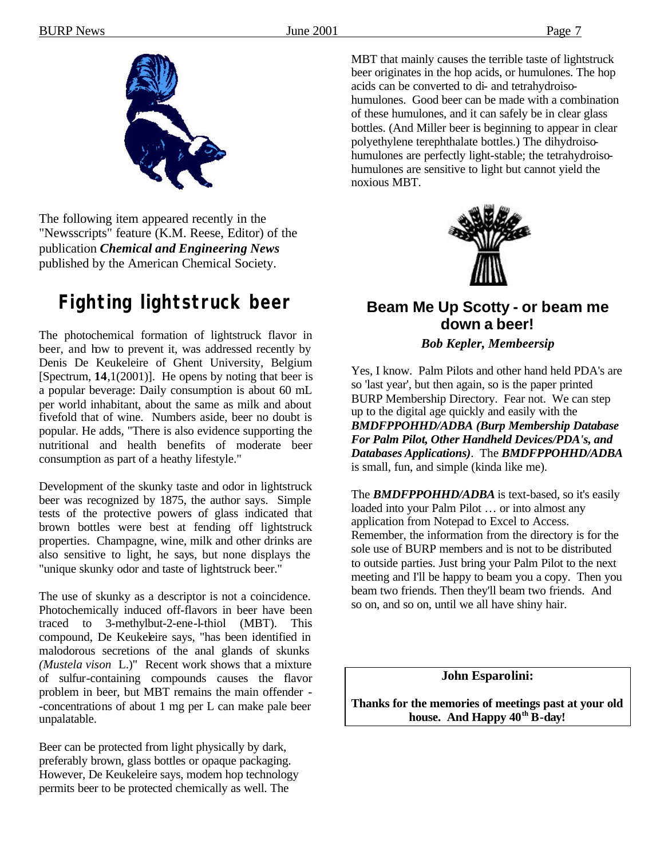

The following item appeared recently in the "Newsscripts" feature (K.M. Reese, Editor) of the publication *Chemical and Engineering News* published by the American Chemical Society.

## **Fighting lightstruck beer**

The photochemical formation of lightstruck flavor in beer, and how to prevent it, was addressed recently by Denis De Keukeleire of Ghent University, Belgium [Spectrum, **14**,1(2001)]. He opens by noting that beer is a popular beverage: Daily consumption is about 60 mL per world inhabitant, about the same as milk and about fivefold that of wine. Numbers aside, beer no doubt is popular. He adds, "There is also evidence supporting the nutritional and health benefits of moderate beer consumption as part of a heathy lifestyle."

Development of the skunky taste and odor in lightstruck beer was recognized by 1875, the author says. Simple tests of the protective powers of glass indicated that brown bottles were best at fending off lightstruck properties. Champagne, wine, milk and other drinks are also sensitive to light, he says, but none displays the "unique skunky odor and taste of lightstruck beer."

The use of skunky as a descriptor is not a coincidence. Photochemically induced off-flavors in beer have been traced to 3-methylbut-2-ene-l-thiol (MBT). This compound, De Keukeleire says, "has been identified in malodorous secretions of the anal glands of skunks *(Mustela vison* L.)" Recent work shows that a mixture of sulfur-containing compounds causes the flavor problem in beer, but MBT remains the main offender - -concentrations of about 1 mg per L can make pale beer unpalatable.

Beer can be protected from light physically by dark, preferably brown, glass bottles or opaque packaging. However, De Keukeleire says, modem hop technology permits beer to be protected chemically as well. The

MBT that mainly causes the terrible taste of lightstruck beer originates in the hop acids, or humulones. The hop acids can be converted to di- and tetrahydroisohumulones. Good beer can be made with a combination of these humulones, and it can safely be in clear glass bottles. (And Miller beer is beginning to appear in clear polyethylene terephthalate bottles.) The dihydroisohumulones are perfectly light-stable; the tetrahydroisohumulones are sensitive to light but cannot yield the noxious MBT.



### **Beam Me Up Scotty - or beam me down a beer!**

*Bob Kepler, Membeersip*

Yes, I know. Palm Pilots and other hand held PDA's are so 'last year', but then again, so is the paper printed BURP Membership Directory. Fear not. We can step up to the digital age quickly and easily with the *BMDFPPOHHD/ADBA (Burp Membership Database For Palm Pilot, Other Handheld Devices/PDA's, and Databases Applications)*. The *BMDFPPOHHD/ADBA* is small, fun, and simple (kinda like me).

The *BMDFPPOHHD/ADBA* is text-based, so it's easily loaded into your Palm Pilot … or into almost any application from Notepad to Excel to Access. Remember, the information from the directory is for the sole use of BURP members and is not to be distributed to outside parties. Just bring your Palm Pilot to the next meeting and I'll be happy to beam you a copy. Then you beam two friends. Then they'll beam two friends. And so on, and so on, until we all have shiny hair.

**John Esparolini:**

**Thanks for the memories of meetings past at your old**  house. And Happy  $40^{th}$  B-day!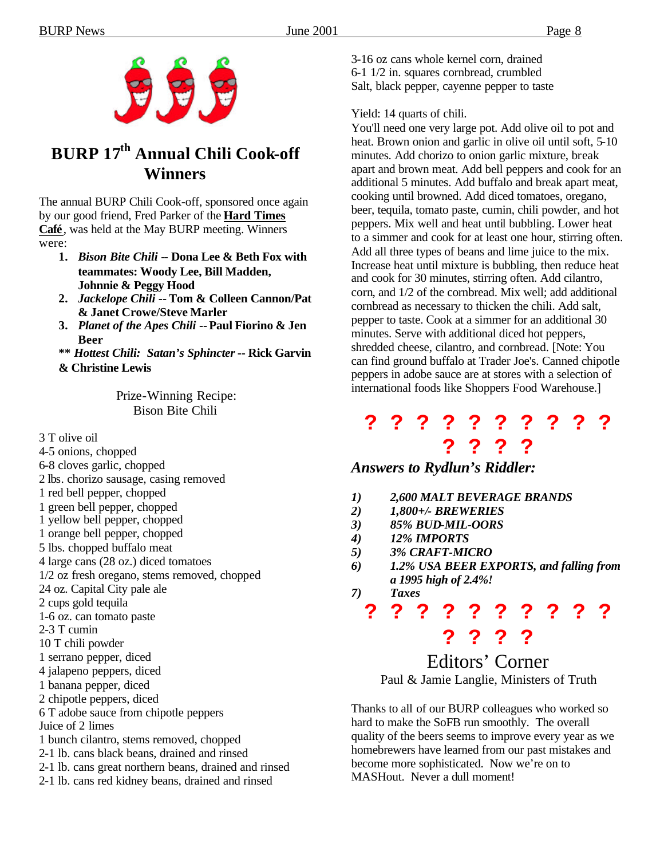

### **BURP 17th Annual Chili Cook-off Winners**

The annual BURP Chili Cook-off, sponsored once again by our good friend, Fred Parker of the **Hard Times Café**, was held at the May BURP meeting. Winners were:

- **1.** *Bison Bite Chili* **-- Dona Lee & Beth Fox with teammates: Woody Lee, Bill Madden, Johnnie & Peggy Hood**
- **2.** *Jackelope Chili* **-- Tom & Colleen Cannon/Pat & Janet Crowe/Steve Marler**
- **3.** *Planet of the Apes Chili* **-- Paul Fiorino & Jen Beer**
- **\*\*** *Hottest Chili: Satan's Sphincter***-- Rick Garvin & Christine Lewis**

Prize-Winning Recipe: Bison Bite Chili

3 T olive oil

- 4-5 onions, chopped
- 6-8 cloves garlic, chopped
- 2 lbs. chorizo sausage, casing removed
- 1 red bell pepper, chopped
- 1 green bell pepper, chopped
- 1 yellow bell pepper, chopped
- 1 orange bell pepper, chopped
- 5 lbs. chopped buffalo meat
- 4 large cans (28 oz.) diced tomatoes
- 1/2 oz fresh oregano, stems removed, chopped
- 24 oz. Capital City pale ale
- 2 cups gold tequila
- 1-6 oz. can tomato paste
- 2-3 T cumin
- 10 T chili powder
- 1 serrano pepper, diced
- 4 jalapeno peppers, diced
- 1 banana pepper, diced
- 2 chipotle peppers, diced
- 6 T adobe sauce from chipotle peppers
- Juice of 2 limes
- 1 bunch cilantro, stems removed, chopped
- 2-1 lb. cans black beans, drained and rinsed
- 2-1 lb. cans great northern beans, drained and rinsed
- 2-1 lb. cans red kidney beans, drained and rinsed

3-16 oz cans whole kernel corn, drained 6-1 1/2 in. squares cornbread, crumbled Salt, black pepper, cayenne pepper to taste

Yield: 14 quarts of chili.

You'll need one very large pot. Add olive oil to pot and heat. Brown onion and garlic in olive oil until soft, 5-10 minutes. Add chorizo to onion garlic mixture, break apart and brown meat. Add bell peppers and cook for an additional 5 minutes. Add buffalo and break apart meat, cooking until browned. Add diced tomatoes, oregano, beer, tequila, tomato paste, cumin, chili powder, and hot peppers. Mix well and heat until bubbling. Lower heat to a simmer and cook for at least one hour, stirring often. Add all three types of beans and lime juice to the mix. Increase heat until mixture is bubbling, then reduce heat and cook for 30 minutes, stirring often. Add cilantro, corn, and 1/2 of the cornbread. Mix well; add additional cornbread as necessary to thicken the chili. Add salt, pepper to taste. Cook at a simmer for an additional 30 minutes. Serve with additional diced hot peppers, shredded cheese, cilantro, and cornbread. [Note: You can find ground buffalo at Trader Joe's. Canned chipotle peppers in adobe sauce are at stores with a selection of international foods like Shoppers Food Warehouse.]

### **? ? ? ? ? ? ? ? ? ? ? ? ? ?**

### *Answers to Rydlun's Riddler:*

- *1) 2,600 MALT BEVERAGE BRANDS*
- *2) 1,800+/- BREWERIES*
- *3) 85% BUD-MIL-OORS*
- *4) 12% IMPORTS*
- *5) 3% CRAFT-MICRO*
- *6) 1.2% USA BEER EXPORTS, and falling from a 1995 high of 2.4%!*
- *7) Taxes*

# **? ? ? ? ? ? ? ? ? ? ? ? ? ?**

Editors' Corner Paul & Jamie Langlie, Ministers of Truth

Thanks to all of our BURP colleagues who worked so hard to make the SoFB run smoothly. The overall quality of the beers seems to improve every year as we homebrewers have learned from our past mistakes and become more sophisticated. Now we're on to MASHout. Never a dull moment!